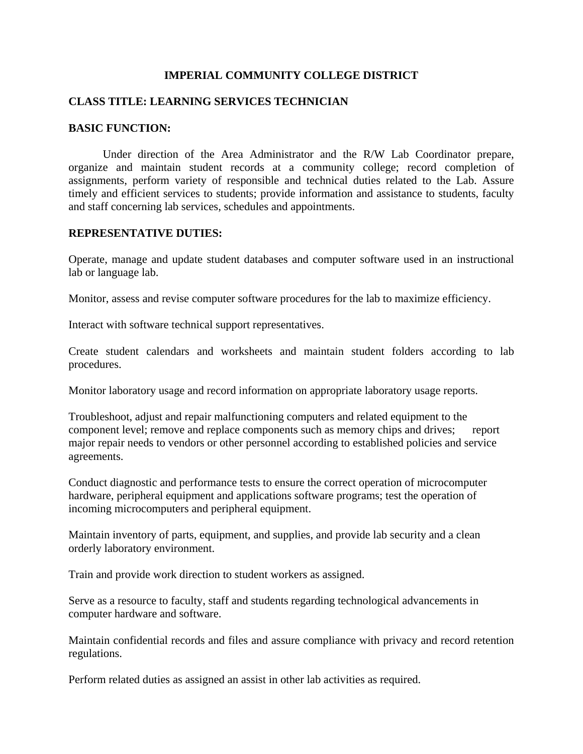## **IMPERIAL COMMUNITY COLLEGE DISTRICT**

#### **CLASS TITLE: LEARNING SERVICES TECHNICIAN**

#### **BASIC FUNCTION:**

Under direction of the Area Administrator and the R/W Lab Coordinator prepare, organize and maintain student records at a community college; record completion of assignments, perform variety of responsible and technical duties related to the Lab. Assure timely and efficient services to students; provide information and assistance to students, faculty and staff concerning lab services, schedules and appointments.

## **REPRESENTATIVE DUTIES:**

Operate, manage and update student databases and computer software used in an instructional lab or language lab.

Monitor, assess and revise computer software procedures for the lab to maximize efficiency.

Interact with software technical support representatives.

Create student calendars and worksheets and maintain student folders according to lab procedures.

Monitor laboratory usage and record information on appropriate laboratory usage reports.

Troubleshoot, adjust and repair malfunctioning computers and related equipment to the component level; remove and replace components such as memory chips and drives; report major repair needs to vendors or other personnel according to established policies and service agreements.

Conduct diagnostic and performance tests to ensure the correct operation of microcomputer hardware, peripheral equipment and applications software programs; test the operation of incoming microcomputers and peripheral equipment.

Maintain inventory of parts, equipment, and supplies, and provide lab security and a clean orderly laboratory environment.

Train and provide work direction to student workers as assigned.

Serve as a resource to faculty, staff and students regarding technological advancements in computer hardware and software.

Maintain confidential records and files and assure compliance with privacy and record retention regulations.

Perform related duties as assigned an assist in other lab activities as required.